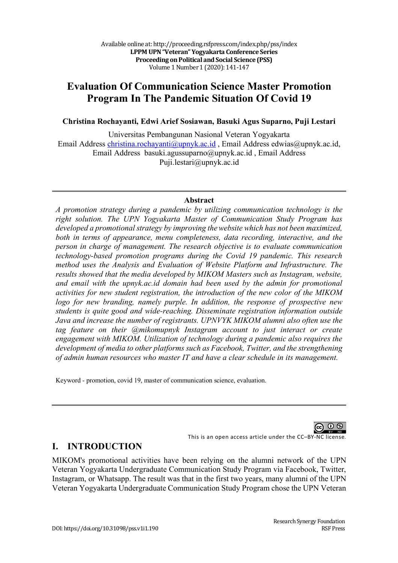# **Evaluation Of Communication Science Master Promotion Program In The Pandemic Situation Of Covid 19**

**Christina Rochayanti, Edwi Arief Sosiawan, Basuki Agus Suparno, Puji Lestari** 

Universitas Pembangunan Nasional Veteran Yogyakarta Email Address christina.rochayanti@upnyk.ac.id , Email Address edwias@upnyk.ac.id, Email Address basuki.agussuparno@upnyk.ac.id , Email Address Puji.lestari@upnyk.ac.id

#### **Abstract**

*A promotion strategy during a pandemic by utilizing communication technology is the right solution. The UPN Yogyakarta Master of Communication Study Program has developed a promotional strategy by improving the website which has not been maximized, both in terms of appearance, menu completeness, data recording, interactive, and the person in charge of management. The research objective is to evaluate communication technology-based promotion programs during the Covid 19 pandemic. This research method uses the Analysis and Evaluation of Website Platform and Infrastructure. The results showed that the media developed by MIKOM Masters such as Instagram, website, and email with the upnyk.ac.id domain had been used by the admin for promotional activities for new student registration, the introduction of the new color of the MIKOM logo for new branding, namely purple. In addition, the response of prospective new students is quite good and wide-reaching. Disseminate registration information outside Java and increase the number of registrants. UPNVYK MIKOM alumni also often use the tag feature on their @mikomupnyk Instagram account to just interact or create engagement with MIKOM. Utilization of technology during a pandemic also requires the development of media to other platforms such as Facebook, Twitter, and the strengthening of admin human resources who master IT and have a clear schedule in its management.*

Keyword - promotion, covid 19, master of communication science, evaluation.

ന ഒ

This is an open access article under the CC–BY-NC license.

#### **I. INTRODUCTION**

MIKOM's promotional activities have been relying on the alumni network of the UPN Veteran Yogyakarta Undergraduate Communication Study Program via Facebook, Twitter, Instagram, or Whatsapp. The result was that in the first two years, many alumni of the UPN Veteran Yogyakarta Undergraduate Communication Study Program chose the UPN Veteran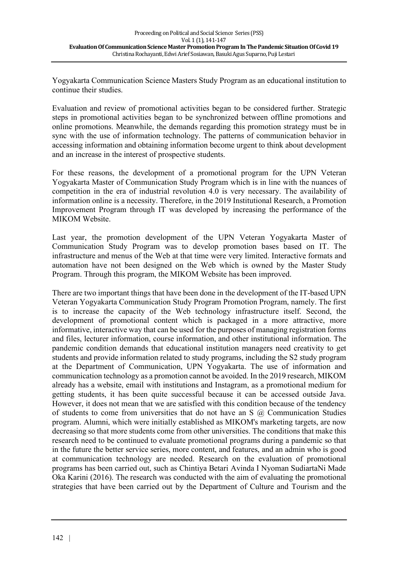Yogyakarta Communication Science Masters Study Program as an educational institution to continue their studies.

Evaluation and review of promotional activities began to be considered further. Strategic steps in promotional activities began to be synchronized between offline promotions and online promotions. Meanwhile, the demands regarding this promotion strategy must be in sync with the use of information technology. The patterns of communication behavior in accessing information and obtaining information become urgent to think about development and an increase in the interest of prospective students.

For these reasons, the development of a promotional program for the UPN Veteran Yogyakarta Master of Communication Study Program which is in line with the nuances of competition in the era of industrial revolution 4.0 is very necessary. The availability of information online is a necessity. Therefore, in the 2019 Institutional Research, a Promotion Improvement Program through IT was developed by increasing the performance of the MIKOM Website.

Last year, the promotion development of the UPN Veteran Yogyakarta Master of Communication Study Program was to develop promotion bases based on IT. The infrastructure and menus of the Web at that time were very limited. Interactive formats and automation have not been designed on the Web which is owned by the Master Study Program. Through this program, the MIKOM Website has been improved.

There are two important things that have been done in the development of the IT-based UPN Veteran Yogyakarta Communication Study Program Promotion Program, namely. The first is to increase the capacity of the Web technology infrastructure itself. Second, the development of promotional content which is packaged in a more attractive, more informative, interactive way that can be used for the purposes of managing registration forms and files, lecturer information, course information, and other institutional information. The pandemic condition demands that educational institution managers need creativity to get students and provide information related to study programs, including the S2 study program at the Department of Communication, UPN Yogyakarta. The use of information and communication technology as a promotion cannot be avoided. In the 2019 research, MIKOM already has a website, email with institutions and Instagram, as a promotional medium for getting students, it has been quite successful because it can be accessed outside Java. However, it does not mean that we are satisfied with this condition because of the tendency of students to come from universities that do not have an S @ Communication Studies program. Alumni, which were initially established as MIKOM's marketing targets, are now decreasing so that more students come from other universities. The conditions that make this research need to be continued to evaluate promotional programs during a pandemic so that in the future the better service series, more content, and features, and an admin who is good at communication technology are needed. Research on the evaluation of promotional programs has been carried out, such as Chintiya Betari Avinda I Nyoman SudiartaNi Made Oka Karini (2016). The research was conducted with the aim of evaluating the promotional strategies that have been carried out by the Department of Culture and Tourism and the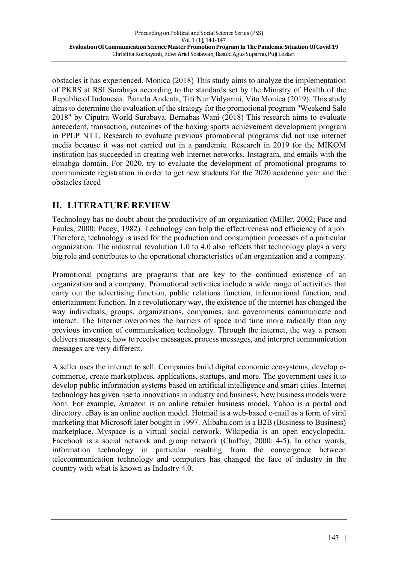obstacles it has experienced. Monica (2018) This study aims to analyze the implementation of PKRS at RSI Surabaya according to the standards set by the Ministry of Health of the Republic of Indonesia. Pamela Andeata, Titi Nur Vidyarini, Vita Monica (2019). This study aims to determine the evaluation of the strategy for the promotional program "Weekend Sale 2018" by Ciputra World Surabaya. Bernabas Wani (2018) This research aims to evaluate antecedent, transaction, outcomes of the boxing sports achievement development program in PPLP NTT. Research to evaluate previous promotional programs did not use internet media because it was not carried out in a pandemic. Research in 2019 for the MIKOM institution has succeeded in creating web internet networks, Instagram, and emails with the elmabga domain. For 2020, try to evaluate the development of promotional programs to communicate registration in order to get new students for the 2020 academic year and the obstacles faced

## **II. LITERATURE REVIEW**

Technology has no doubt about the productivity of an organization (Miller, 2002; Pace and Faules, 2000; Pacey, 1982). Technology can help the effectiveness and efficiency of a job. Therefore, technology is used for the production and consumption processes of a particular organization. The industrial revolution 1.0 to 4.0 also reflects that technology plays a very big role and contributes to the operational characteristics of an organization and a company.

Promotional programs are programs that are key to the continued existence of an organization and a company. Promotional activities include a wide range of activities that carry out the advertising function, public relations function, informational function, and entertainment function. In a revolutionary way, the existence of the internet has changed the way individuals, groups, organizations, companies, and governments communicate and interact. The Internet overcomes the barriers of space and time more radically than any previous invention of communication technology. Through the internet, the way a person delivers messages, how to receive messages, process messages, and interpret communication messages are very different.

A seller uses the internet to sell. Companies build digital economic ecosystems, develop ecommerce, create marketplaces, applications, startups, and more. The government uses it to develop public information systems based on artificial intelligence and smart cities. Internet technology has given rise to innovations in industry and business. New business models were born. For example, Amazon is an online retailer business model, Yahoo is a portal and directory. eBay is an online auction model. Hotmail is a web-based e-mail as a form of viral marketing that Microsoft later bought in 1997. Alibaba.com is a B2B (Business to Business) marketplace. Myspace is a virtual social network. Wikipedia is an open encyclopedia. Facebook is a social network and group network (Chaffay, 2000: 4-5). In other words, information technology in particular resulting from the convergence between telecommunication technology and computers has changed the face of industry in the country with what is known as Industry 4.0.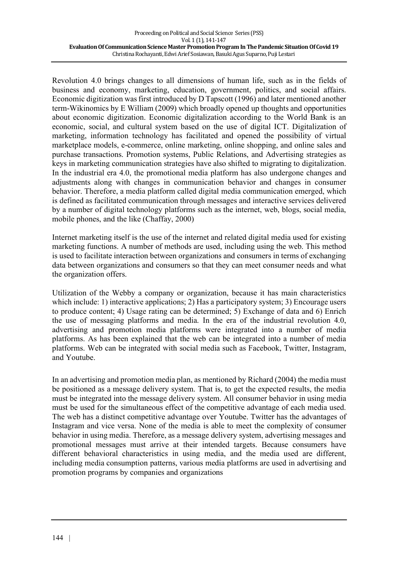Revolution 4.0 brings changes to all dimensions of human life, such as in the fields of business and economy, marketing, education, government, politics, and social affairs. Economic digitization was first introduced by D Tapscott (1996) and later mentioned another term-Wikinomics by E William (2009) which broadly opened up thoughts and opportunities about economic digitization. Economic digitalization according to the World Bank is an economic, social, and cultural system based on the use of digital ICT. Digitalization of marketing, information technology has facilitated and opened the possibility of virtual marketplace models, e-commerce, online marketing, online shopping, and online sales and purchase transactions. Promotion systems, Public Relations, and Advertising strategies as keys in marketing communication strategies have also shifted to migrating to digitalization. In the industrial era 4.0, the promotional media platform has also undergone changes and adjustments along with changes in communication behavior and changes in consumer behavior. Therefore, a media platform called digital media communication emerged, which is defined as facilitated communication through messages and interactive services delivered by a number of digital technology platforms such as the internet, web, blogs, social media, mobile phones, and the like (Chaffay, 2000)

Internet marketing itself is the use of the internet and related digital media used for existing marketing functions. A number of methods are used, including using the web. This method is used to facilitate interaction between organizations and consumers in terms of exchanging data between organizations and consumers so that they can meet consumer needs and what the organization offers.

Utilization of the Webby a company or organization, because it has main characteristics which include: 1) interactive applications; 2) Has a participatory system; 3) Encourage users to produce content; 4) Usage rating can be determined; 5) Exchange of data and 6) Enrich the use of messaging platforms and media. In the era of the industrial revolution 4.0, advertising and promotion media platforms were integrated into a number of media platforms. As has been explained that the web can be integrated into a number of media platforms. Web can be integrated with social media such as Facebook, Twitter, Instagram, and Youtube.

In an advertising and promotion media plan, as mentioned by Richard (2004) the media must be positioned as a message delivery system. That is, to get the expected results, the media must be integrated into the message delivery system. All consumer behavior in using media must be used for the simultaneous effect of the competitive advantage of each media used. The web has a distinct competitive advantage over Youtube. Twitter has the advantages of Instagram and vice versa. None of the media is able to meet the complexity of consumer behavior in using media. Therefore, as a message delivery system, advertising messages and promotional messages must arrive at their intended targets. Because consumers have different behavioral characteristics in using media, and the media used are different, including media consumption patterns, various media platforms are used in advertising and promotion programs by companies and organizations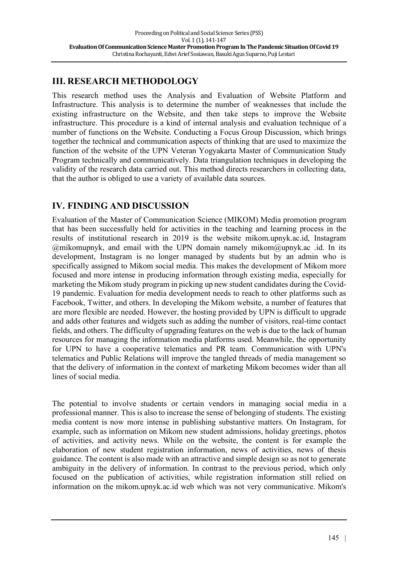# **III. RESEARCH METHODOLOGY**

This research method uses the Analysis and Evaluation of Website Platform and Infrastructure. This analysis is to determine the number of weaknesses that include the existing infrastructure on the Website, and then take steps to improve the Website infrastructure. This procedure is a kind of internal analysis and evaluation technique of a number of functions on the Website. Conducting a Focus Group Discussion, which brings together the technical and communication aspects of thinking that are used to maximize the function of the website of the UPN Veteran Yogyakarta Master of Communication Study Program technically and communicatively. Data triangulation techniques in developing the validity of the research data carried out. This method directs researchers in collecting data, that the author is obliged to use a variety of available data sources.

## **IV. FINDING AND DISCUSSION**

Evaluation of the Master of Communication Science (MIKOM) Media promotion program that has been successfully held for activities in the teaching and learning process in the results of institutional research in 2019 is the website mikom.upnyk.ac.id, Instagram  $@m$ ikomupnyk, and email with the UPN domain namely mikom $@m$ upnyk.ac .id. In its development, Instagram is no longer managed by students but by an admin who is specifically assigned to Mikom social media. This makes the development of Mikom more focused and more intense in producing information through existing media, especially for marketing the Mikom study program in picking up new student candidates during the Covid-19 pandemic. Evaluation for media development needs to reach to other platforms such as Facebook, Twitter, and others. In developing the Mikom website, a number of features that are more flexible are needed. However, the hosting provided by UPN is difficult to upgrade and adds other features and widgets such as adding the number of visitors, real-time contact fields, and others. The difficulty of upgrading features on the web is due to the lack of human resources for managing the information media platforms used. Meanwhile, the opportunity for UPN to have a cooperative telematics and PR team. Communication with UPN's telematics and Public Relations will improve the tangled threads of media management so that the delivery of information in the context of marketing Mikom becomes wider than all lines of social media.

The potential to involve students or certain vendors in managing social media in a professional manner. This is also to increase the sense of belonging of students. The existing media content is now more intense in publishing substantive matters. On Instagram, for example, such as information on Mikom new student admissions, holiday greetings, photos of activities, and activity news. While on the website, the content is for example the elaboration of new student registration information, news of activities, news of thesis guidance. The content is also made with an attractive and simple design so as not to generate ambiguity in the delivery of information. In contrast to the previous period, which only focused on the publication of activities, while registration information still relied on information on the mikom.upnyk.ac.id web which was not very communicative. Mikom's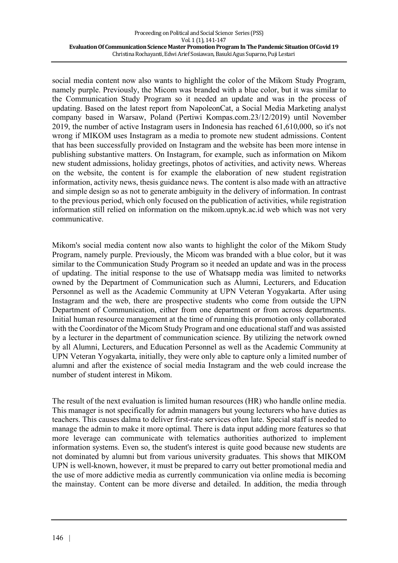social media content now also wants to highlight the color of the Mikom Study Program, namely purple. Previously, the Micom was branded with a blue color, but it was similar to the Communication Study Program so it needed an update and was in the process of updating. Based on the latest report from NapoleonCat, a Social Media Marketing analyst company based in Warsaw, Poland (Pertiwi Kompas.com.23/12/2019) until November 2019, the number of active Instagram users in Indonesia has reached 61,610,000, so it's not wrong if MIKOM uses Instagram as a media to promote new student admissions. Content that has been successfully provided on Instagram and the website has been more intense in publishing substantive matters. On Instagram, for example, such as information on Mikom new student admissions, holiday greetings, photos of activities, and activity news. Whereas on the website, the content is for example the elaboration of new student registration information, activity news, thesis guidance news. The content is also made with an attractive and simple design so as not to generate ambiguity in the delivery of information. In contrast to the previous period, which only focused on the publication of activities, while registration information still relied on information on the mikom.upnyk.ac.id web which was not very communicative.

Mikom's social media content now also wants to highlight the color of the Mikom Study Program, namely purple. Previously, the Micom was branded with a blue color, but it was similar to the Communication Study Program so it needed an update and was in the process of updating. The initial response to the use of Whatsapp media was limited to networks owned by the Department of Communication such as Alumni, Lecturers, and Education Personnel as well as the Academic Community at UPN Veteran Yogyakarta. After using Instagram and the web, there are prospective students who come from outside the UPN Department of Communication, either from one department or from across departments. Initial human resource management at the time of running this promotion only collaborated with the Coordinator of the Micom Study Program and one educational staff and was assisted by a lecturer in the department of communication science. By utilizing the network owned by all Alumni, Lecturers, and Education Personnel as well as the Academic Community at UPN Veteran Yogyakarta, initially, they were only able to capture only a limited number of alumni and after the existence of social media Instagram and the web could increase the number of student interest in Mikom.

The result of the next evaluation is limited human resources (HR) who handle online media. This manager is not specifically for admin managers but young lecturers who have duties as teachers. This causes dalma to deliver first-rate services often late. Special staff is needed to manage the admin to make it more optimal. There is data input adding more features so that more leverage can communicate with telematics authorities authorized to implement information systems. Even so, the student's interest is quite good because new students are not dominated by alumni but from various university graduates. This shows that MIKOM UPN is well-known, however, it must be prepared to carry out better promotional media and the use of more addictive media as currently communication via online media is becoming the mainstay. Content can be more diverse and detailed. In addition, the media through